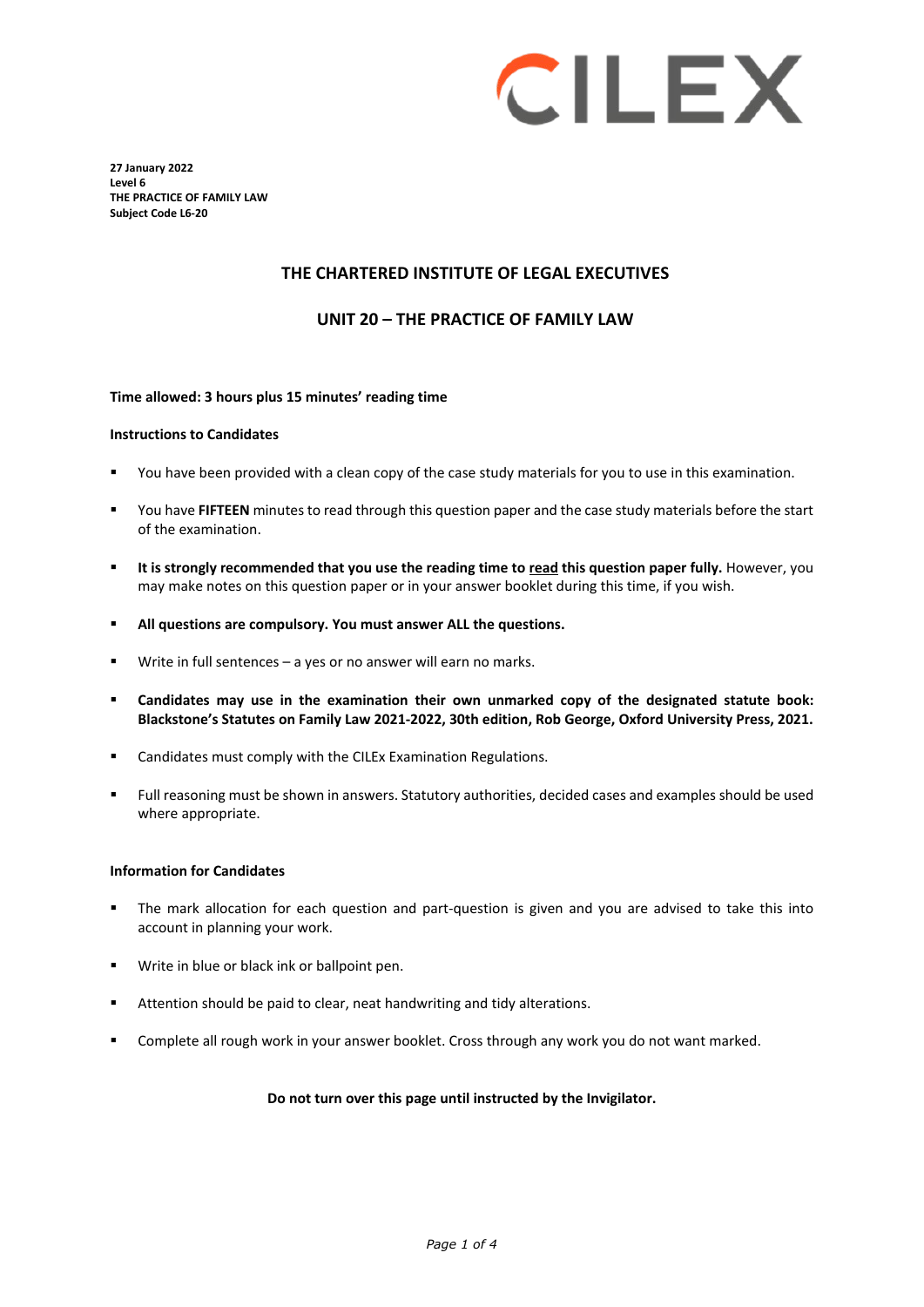# CILEX

**27 January 2022 Level 6 THE PRACTICE OF FAMILY LAW Subject Code L6-20**

### **THE CHARTERED INSTITUTE OF LEGAL EXECUTIVES**

#### **UNIT 20 – THE PRACTICE OF FAMILY LAW**

#### **Time allowed: 3 hours plus 15 minutes' reading time**

#### **Instructions to Candidates**

- You have been provided with a clean copy of the case study materials for you to use in this examination.
- You have **FIFTEEN** minutes to read through this question paper and the case study materials before the start of the examination.
- **It is strongly recommended that you use the reading time to read this question paper fully.** However, you may make notes on this question paper or in your answer booklet during this time, if you wish.
- **All questions are compulsory. You must answer ALL the questions.**
- Write in full sentences a yes or no answer will earn no marks.
- **Candidates may use in the examination their own unmarked copy of the designated statute book: Blackstone's Statutes on Family Law 2021-2022, 30th edition, Rob George, Oxford University Press, 2021.**
- Candidates must comply with the CILEx Examination Regulations.
- Full reasoning must be shown in answers. Statutory authorities, decided cases and examples should be used where appropriate.

#### **Information for Candidates**

- The mark allocation for each question and part-question is given and you are advised to take this into account in planning your work.
- **Write in blue or black ink or ballpoint pen.**
- Attention should be paid to clear, neat handwriting and tidy alterations.
- Complete all rough work in your answer booklet. Cross through any work you do not want marked.

#### **Do not turn over this page until instructed by the Invigilator.**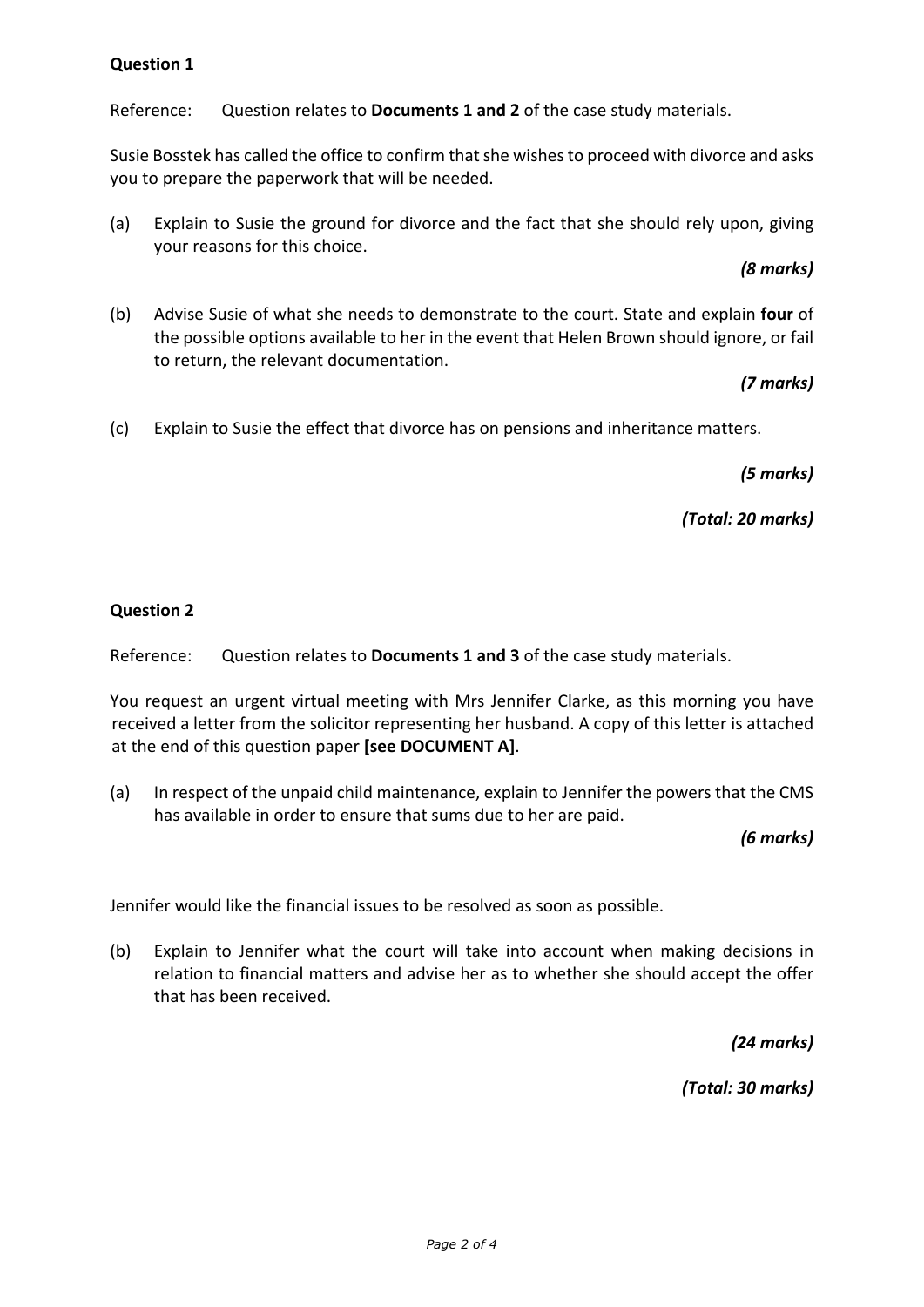# **Question 1**

Reference: Question relates to **Documents 1 and 2** of the case study materials.

Susie Bosstek has called the office to confirm that she wishes to proceed with divorce and asks you to prepare the paperwork that will be needed.

(a) Explain to Susie the ground for divorce and the fact that she should rely upon, giving your reasons for this choice.

### *(8 marks)*

(b) Advise Susie of what she needs to demonstrate to the court. State and explain **four** of the possible options available to her in the event that Helen Brown should ignore, or fail to return, the relevant documentation.

*(7 marks)*

(c) Explain to Susie the effect that divorce has on pensions and inheritance matters.

*(5 marks)*

*(Total: 20 marks)*

# **Question 2**

Reference: Question relates to **Documents 1 and 3** of the case study materials.

You request an urgent virtual meeting with Mrs Jennifer Clarke, as this morning you have received a letter from the solicitor representing her husband. A copy of this letter is attached at the end of this question paper **[see DOCUMENT A]**.

(a) In respect of the unpaid child maintenance, explain to Jennifer the powers that the CMS has available in order to ensure that sums due to her are paid.

*(6 marks)*

Jennifer would like the financial issues to be resolved as soon as possible.

(b) Explain to Jennifer what the court will take into account when making decisions in relation to financial matters and advise her as to whether she should accept the offer that has been received.

*(24 marks)*

*(Total: 30 marks)*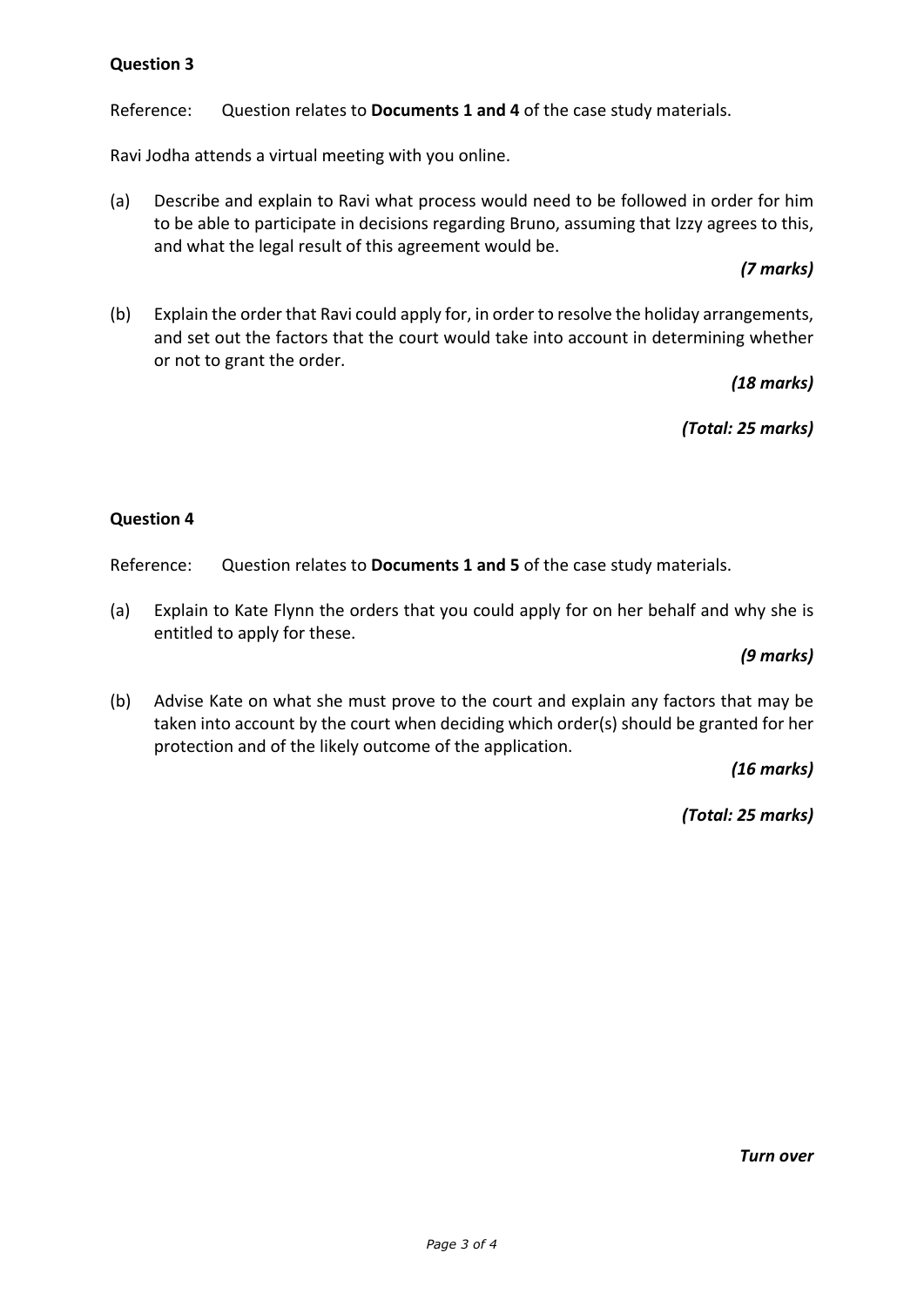# **Question 3**

Reference: Question relates to **Documents 1 and 4** of the case study materials.

Ravi Jodha attends a virtual meeting with you online.

(a) Describe and explain to Ravi what process would need to be followed in order for him to be able to participate in decisions regarding Bruno, assuming that Izzy agrees to this, and what the legal result of this agreement would be.

# *(7 marks)*

(b) Explain the order that Ravi could apply for, in order to resolve the holiday arrangements, and set out the factors that the court would take into account in determining whether or not to grant the order.

*(18 marks)*

*(Total: 25 marks)*

# **Question 4**

Reference: Question relates to **Documents 1 and 5** of the case study materials.

(a) Explain to Kate Flynn the orders that you could apply for on her behalf and why she is entitled to apply for these.

### *(9 marks)*

(b) Advise Kate on what she must prove to the court and explain any factors that may be taken into account by the court when deciding which order(s) should be granted for her protection and of the likely outcome of the application.

*(16 marks)*

*(Total: 25 marks)*